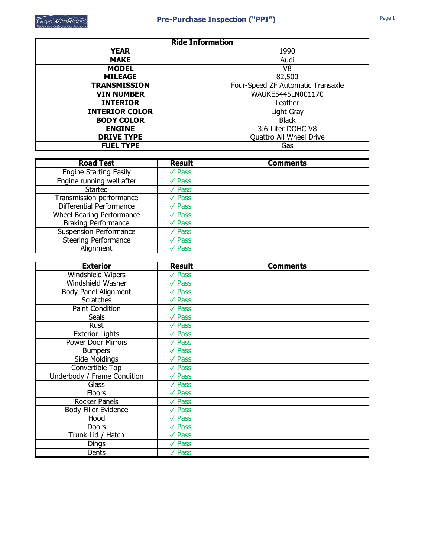| <b>Ride Information</b> |                                   |  |  |  |
|-------------------------|-----------------------------------|--|--|--|
| <b>YEAR</b>             | 1990                              |  |  |  |
| <b>MAKE</b>             | Audi                              |  |  |  |
| <b>MODEL</b>            | V <sub>8</sub>                    |  |  |  |
| <b>MILEAGE</b>          | 82,500                            |  |  |  |
| <b>TRANSMISSION</b>     | Four-Speed ZF Automatic Transaxle |  |  |  |
| <b>VIN NUMBER</b>       | WAUKE5445LN001170                 |  |  |  |
| <b>INTERIOR</b>         | Leather                           |  |  |  |
| <b>INTERIOR COLOR</b>   | Light Gray                        |  |  |  |
| <b>BODY COLOR</b>       | <b>Black</b>                      |  |  |  |
| <b>ENGINE</b>           | 3.6-Liter DOHC V8                 |  |  |  |
| <b>DRIVE TYPE</b>       | Quattro All Wheel Drive           |  |  |  |
| <b>FUEL TYPE</b>        | Gas                               |  |  |  |

| <b>Road Test</b>                 | <b>Result</b>              | <b>Comments</b> |
|----------------------------------|----------------------------|-----------------|
| <b>Engine Starting Easily</b>    | $\sqrt{P}$ ass             |                 |
| Engine running well after        | $\sqrt{P}$ ass             |                 |
| Started                          | $\sqrt{P}$ ass             |                 |
| Transmission performance         | $\sqrt{\overline{P}}$ Pass |                 |
| Differential Performance         | $\sqrt{P}$ ass             |                 |
| <b>Wheel Bearing Performance</b> | $\sqrt{P}$ ass             |                 |
| <b>Braking Performance</b>       | $\sqrt{\overline{P}}$ Pass |                 |
| <b>Suspension Performance</b>    | $\sqrt{P}$ ass             |                 |
| <b>Steering Performance</b>      | $\sqrt{\mathsf{Pass}}$     |                 |
| Alignment                        | $\sqrt{P}$ ass             |                 |

| <b>Exterior</b>             | <b>Result</b>               | <b>Comments</b> |
|-----------------------------|-----------------------------|-----------------|
| <b>Windshield Wipers</b>    | $\sqrt{P}$ ass              |                 |
| Windshield Washer           | $\sqrt{P}$ ass              |                 |
| <b>Body Panel Alignment</b> | $\sqrt{P}$ ass              |                 |
| <b>Scratches</b>            | $\sqrt{P}$ ass              |                 |
| <b>Paint Condition</b>      | $\sqrt{P}$ ass              |                 |
| <b>Seals</b>                | $\sqrt{P}$ ass              |                 |
| Rust                        | $\sqrt{P}$ ass              |                 |
| <b>Exterior Lights</b>      | $\sqrt{P}$ ass              |                 |
| Power Door Mirrors          | $\sqrt{P}$ ass              |                 |
| <b>Bumpers</b>              | $\sqrt{P}$ ass              |                 |
| Side Moldings               | $\overline{\sqrt{\ }}$ Pass |                 |
| Convertible Top             | $\sqrt{P}$ ass              |                 |
| Underbody / Frame Condition | $\sqrt{P}$ ass              |                 |
| Glass                       | $\sqrt{P}$ ass              |                 |
| <b>Floors</b>               | $\sqrt{P}$ ass              |                 |
| Rocker Panels               | $\overline{\sqrt{\ }}$ Pass |                 |
| <b>Body Filler Evidence</b> | $\sqrt{P}$ ass              |                 |
| Hood                        | $\sqrt{P}$ ass              |                 |
| <b>Doors</b>                | $\sqrt{P}$ ass              |                 |
| Trunk Lid / Hatch           | $\overline{\sqrt{\ }}$ Pass |                 |
| Dings                       | $\sqrt{P}$ ass              |                 |
| Dents                       | $\sqrt{P}$ ass              |                 |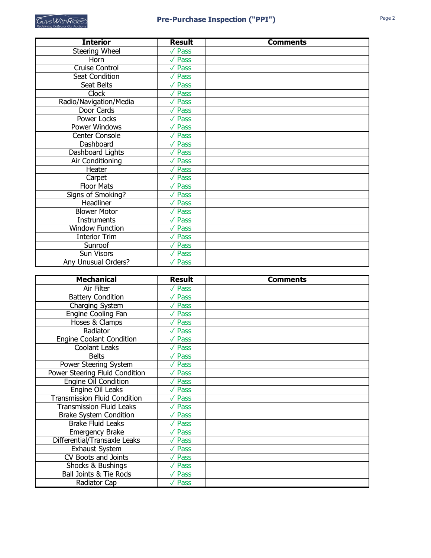| <b>Interior</b>        | <b>Result</b>               | <b>Comments</b> |
|------------------------|-----------------------------|-----------------|
| Steering Wheel         | $\sqrt{P}$ ass              |                 |
| Horn                   | $\sqrt{P}$ ass              |                 |
| <b>Cruise Control</b>  | $\sqrt{P}$ ass              |                 |
| Seat Condition         | $\sqrt{P}$ ass              |                 |
| Seat Belts             | $\sqrt{P}$ ass              |                 |
| <b>Clock</b>           | $\sqrt{P}$ ass              |                 |
| Radio/Navigation/Media | $\sqrt{P}$ ass              |                 |
| Door Cards             | $\sqrt{P}$ ass              |                 |
| <b>Power Locks</b>     | $\sqrt{P}$ ass              |                 |
| Power Windows          | $\sqrt{P}$ ass              |                 |
| <b>Center Console</b>  | $\overline{\sqrt{\ }}$ Pass |                 |
| Dashboard              | $\sqrt{P}$ ass              |                 |
| Dashboard Lights       | $\sqrt{P}$ ass              |                 |
| Air Conditioning       | $\sqrt{P}$ ass              |                 |
| Heater                 | $\sqrt{P}$ ass              |                 |
| Carpet                 | $\sqrt{P}$ ass              |                 |
| <b>Floor Mats</b>      | $\sqrt{}$ Pass              |                 |
| Signs of Smoking?      | $\sqrt{P}$ ass              |                 |
| Headliner              | $\sqrt{P}$ ass              |                 |
| <b>Blower Motor</b>    | $\sqrt{P}$ ass              |                 |
| <b>Instruments</b>     | $\sqrt{P}$ ass              |                 |
| <b>Window Function</b> | $\overline{\sqrt{\ }}$ Pass |                 |
| <b>Interior Trim</b>   | $\sqrt{P}$ ass              |                 |
| Sunroof                | $\sqrt{P}$ ass              |                 |
| Sun Visors             | $\sqrt{P}$ ass              |                 |
| Any Unusual Orders?    | $\sqrt{P}$ ass              |                 |

| <b>Mechanical</b>                   | <b>Result</b>  | <b>Comments</b> |
|-------------------------------------|----------------|-----------------|
| Air Filter                          | $\sqrt{P}$ ass |                 |
| <b>Battery Condition</b>            | $\sqrt{P}$ ass |                 |
| Charging System                     | $\sqrt{P}$ ass |                 |
| <b>Engine Cooling Fan</b>           | $\sqrt{P}$ ass |                 |
| Hoses & Clamps                      | $\sqrt{P}$ ass |                 |
| Radiator                            | $\sqrt{P}$ ass |                 |
| <b>Engine Coolant Condition</b>     | $\sqrt{P}$ ass |                 |
| Coolant Leaks                       | $\sqrt{P}$ ass |                 |
| <b>Belts</b>                        | $\sqrt{P}$ ass |                 |
| Power Steering System               | $\sqrt{P}$ ass |                 |
| Power Steering Fluid Condition      | $\sqrt{P}$ ass |                 |
| Engine Oil Condition                | $\sqrt{P}$ ass |                 |
| Engine Oil Leaks                    | $\sqrt{P}$ ass |                 |
| <b>Transmission Fluid Condition</b> | $\sqrt{P}$ ass |                 |
| <b>Transmission Fluid Leaks</b>     | $\sqrt{P}$ ass |                 |
| <b>Brake System Condition</b>       | $\sqrt{P}$ ass |                 |
| <b>Brake Fluid Leaks</b>            | $\sqrt{P}$ ass |                 |
| <b>Emergency Brake</b>              | $\sqrt{P}$ ass |                 |
| Differential/Transaxle Leaks        | $\sqrt{P}$ ass |                 |
| <b>Exhaust System</b>               | $\sqrt{P}$ ass |                 |
| CV Boots and Joints                 | $\sqrt{P}$ ass |                 |
| Shocks & Bushings                   | $\sqrt{P}$ ass |                 |
| <b>Ball Joints &amp; Tie Rods</b>   | $\sqrt{P}$ ass |                 |
| Radiator Cap                        | $\sqrt{P}$ ass |                 |